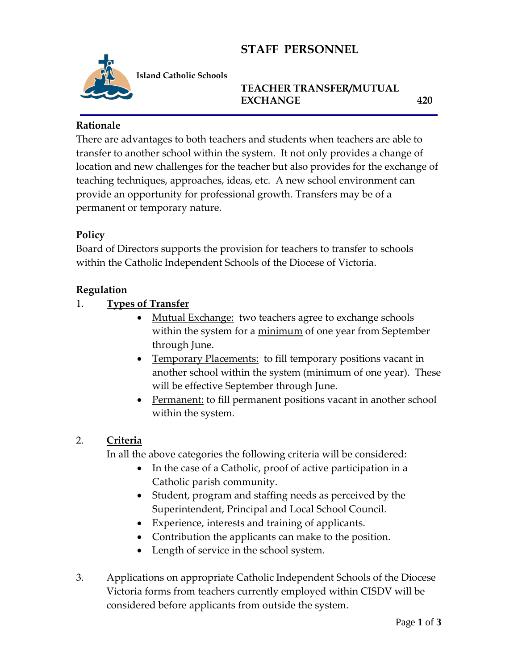# **STAFF PERSONNEL**



**Island Catholic Schools** 

### **TEACHER TRANSFER/MUTUAL EXCHANGE 420**

#### **Rationale**

There are advantages to both teachers and students when teachers are able to transfer to another school within the system. It not only provides a change of location and new challenges for the teacher but also provides for the exchange of teaching techniques, approaches, ideas, etc. A new school environment can provide an opportunity for professional growth. Transfers may be of a permanent or temporary nature.

#### **Policy**

Board of Directors supports the provision for teachers to transfer to schools within the Catholic Independent Schools of the Diocese of Victoria.

#### **Regulation**

1. **Types of Transfer**

- Mutual Exchange: two teachers agree to exchange schools within the system for a minimum of one year from September through June.
- Temporary Placements: to fill temporary positions vacant in another school within the system (minimum of one year). These will be effective September through June.
- Permanent: to fill permanent positions vacant in another school within the system.

#### 2. **Criteria**

In all the above categories the following criteria will be considered:

- In the case of a Catholic, proof of active participation in a Catholic parish community.
- Student, program and staffing needs as perceived by the Superintendent, Principal and Local School Council.
- Experience, interests and training of applicants.
- Contribution the applicants can make to the position.
- Length of service in the school system.
- 3. Applications on appropriate Catholic Independent Schools of the Diocese Victoria forms from teachers currently employed within CISDV will be considered before applicants from outside the system.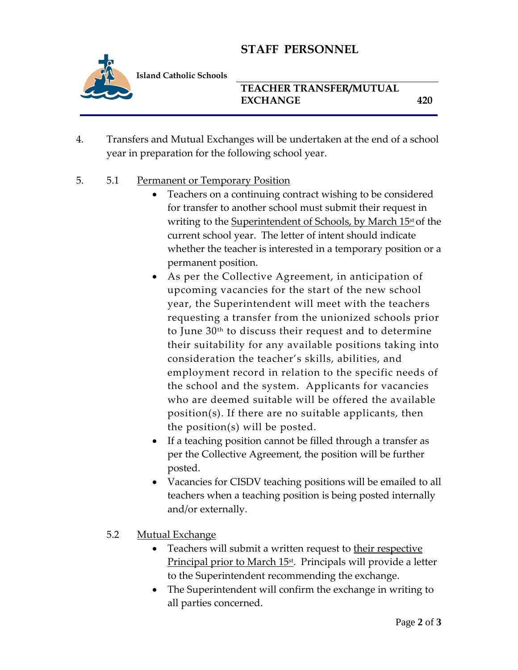# **STAFF PERSONNEL**



**Island Catholic Schools** 

**TEACHER TRANSFER/MUTUAL EXCHANGE 420**

- 4. Transfers and Mutual Exchanges will be undertaken at the end of a school year in preparation for the following school year.
- 5. 5.1 Permanent or Temporary Position
	- Teachers on a continuing contract wishing to be considered for transfer to another school must submit their request in writing to the Superintendent of Schools, by March 15<sup>st</sup> of the current school year. The letter of intent should indicate whether the teacher is interested in a temporary position or a permanent position.
	- As per the Collective Agreement, in anticipation of upcoming vacancies for the start of the new school year, the Superintendent will meet with the teachers requesting a transfer from the unionized schools prior to June 30th to discuss their request and to determine their suitability for any available positions taking into consideration the teacher's skills, abilities, and employment record in relation to the specific needs of the school and the system. Applicants for vacancies who are deemed suitable will be offered the available position(s). If there are no suitable applicants, then the position(s) will be posted.
	- If a teaching position cannot be filled through a transfer as per the Collective Agreement, the position will be further posted.
	- Vacancies for CISDV teaching positions will be emailed to all teachers when a teaching position is being posted internally and/or externally.
	- 5.2 Mutual Exchange
		- Teachers will submit a written request to their respective Principal prior to March 15<sup>st</sup>. Principals will provide a letter to the Superintendent recommending the exchange.
		- The Superintendent will confirm the exchange in writing to all parties concerned.